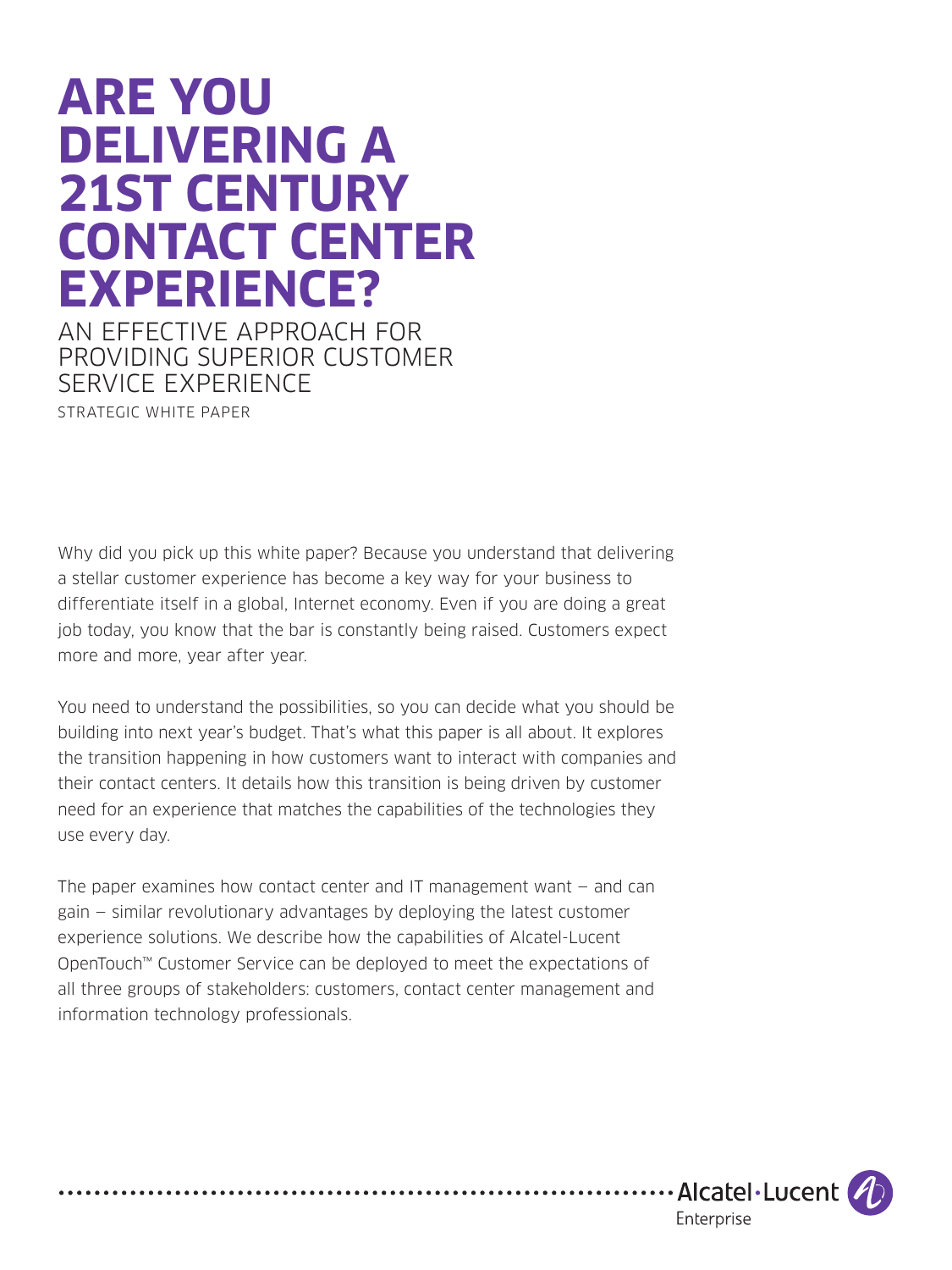# **ARE YOU DELIVERING A 21ST CENTURY CONTACT CENTER EXPERIENCE?**

AN EFFECTIVE APPROACH FOR PROVIDING SUPERIOR CUSTOMER SERVICE EXPERIENCE STRATEGIC WHITE PAPER

Why did you pick up this white paper? Because you understand that delivering a stellar customer experience has become a key way for your business to differentiate itself in a global, Internet economy. Even if you are doing a great job today, you know that the bar is constantly being raised. Customers expect more and more, year after year.

You need to understand the possibilities, so you can decide what you should be building into next year's budget. That's what this paper is all about. It explores the transition happening in how customers want to interact with companies and their contact centers. It details how this transition is being driven by customer need for an experience that matches the capabilities of the technologies they use every day.

The paper examines how contact center and IT management want  $-$  and can gain — similar revolutionary advantages by deploying the latest customer experience solutions. We describe how the capabilities of Alcatel-Lucent OpenTouch™ Customer Service can be deployed to meet the expectations of all three groups of stakeholders: customers, contact center management and information technology professionals.

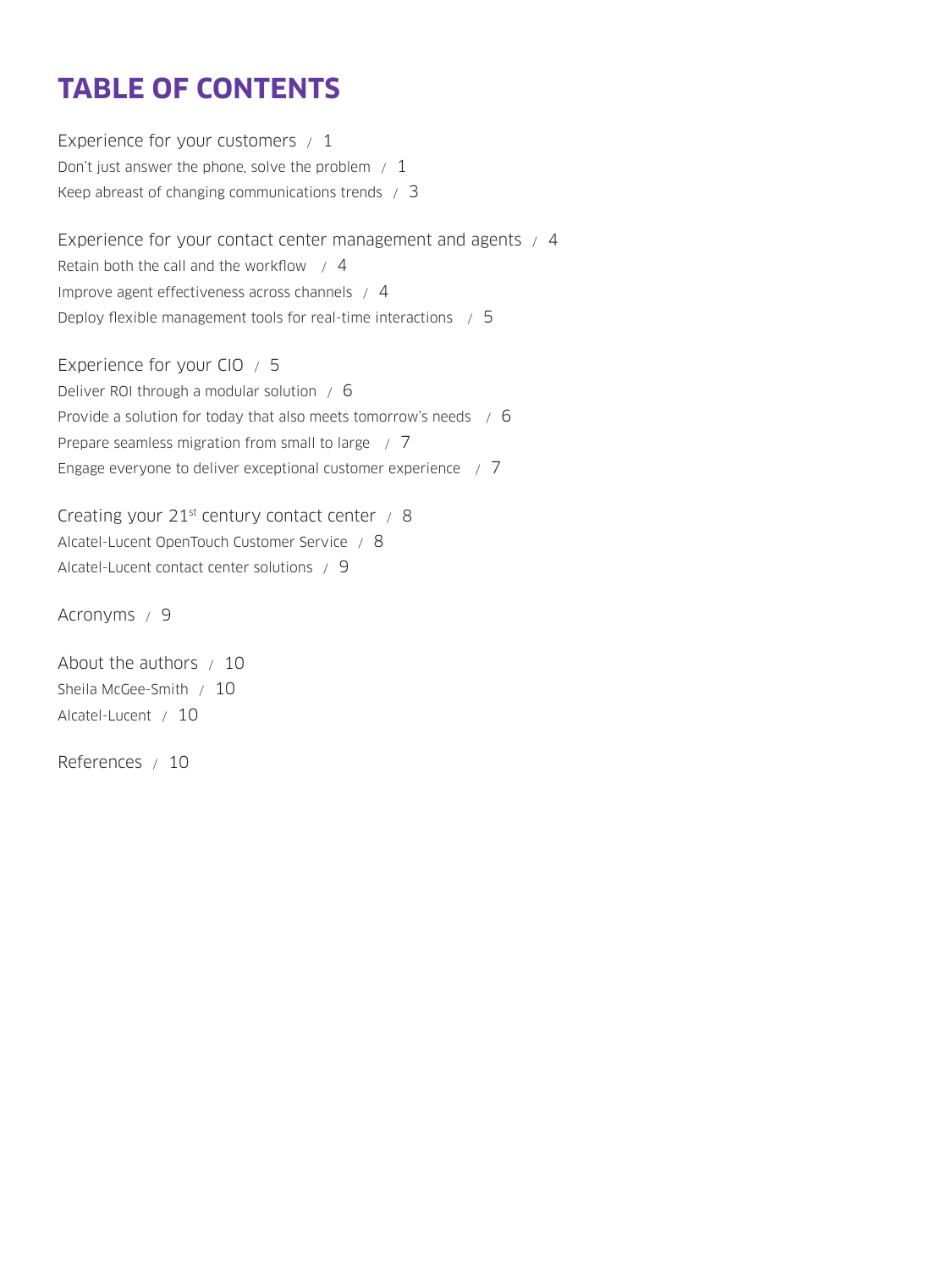# **TABLE OF CONTENTS**

[Experience for your customers / 1](#page-2-0) Don't just answer the phone, solve the problem  $/1$ [Keep abreast of changing communications trends / 3](#page-4-0) [Experience for your contact center management and agents / 4](#page-5-0) Retain both the call and the workflow  $\neq$  4 [Improve agent effectiveness across channels / 4](#page-5-0) [Deploy flexible management tools for real-time interactions / 5](#page-6-0) [Experience for your CIO / 5](#page-6-0)

[Deliver ROI through a modular solution / 6](#page-7-0) [Provide a solution for today that also meets tomorrow's needs / 6](#page-7-0) [Prepare seamless migration from small to large / 7](#page-8-0) [Engage everyone to deliver exceptional customer experience / 7](#page-8-0)

Creating your 21<sup>st</sup> century contact center / 8 [Alcatel-Lucent OpenTouch Customer Service / 8](#page-9-0) [Alcatel-Lucent contact center solutions / 9](#page-10-0)

[Acronyms / 9](#page-10-0)

[About the authors / 10](#page-11-0) [Sheila McGee-Smith / 10](#page-11-0) [Alcatel-Lucent / 10](#page-11-0)

[References / 10](#page-11-0)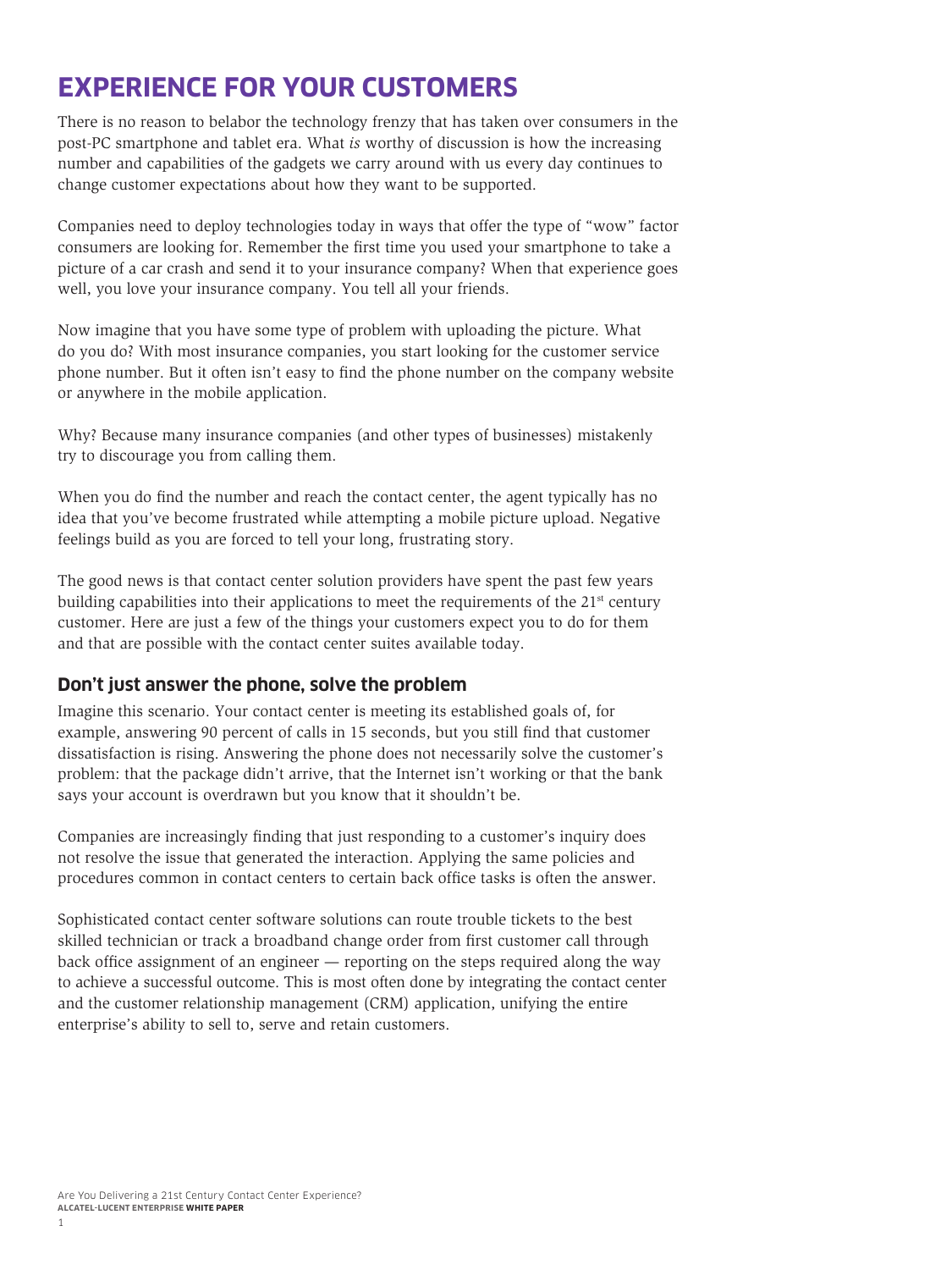# <span id="page-2-0"></span>**EXPERIENCE FOR YOUR CUSTOMERS**

There is no reason to belabor the technology frenzy that has taken over consumers in the post-PC smartphone and tablet era. What *is* worthy of discussion is how the increasing number and capabilities of the gadgets we carry around with us every day continues to change customer expectations about how they want to be supported.

Companies need to deploy technologies today in ways that offer the type of "wow" factor consumers are looking for. Remember the first time you used your smartphone to take a picture of a car crash and send it to your insurance company? When that experience goes well, you love your insurance company. You tell all your friends.

Now imagine that you have some type of problem with uploading the picture. What do you do? With most insurance companies, you start looking for the customer service phone number. But it often isn't easy to find the phone number on the company website or anywhere in the mobile application.

Why? Because many insurance companies (and other types of businesses) mistakenly try to discourage you from calling them.

When you do find the number and reach the contact center, the agent typically has no idea that you've become frustrated while attempting a mobile picture upload. Negative feelings build as you are forced to tell your long, frustrating story.

The good news is that contact center solution providers have spent the past few years building capabilities into their applications to meet the requirements of the  $21<sup>st</sup>$  century customer. Here are just a few of the things your customers expect you to do for them and that are possible with the contact center suites available today.

#### **Don't just answer the phone, solve the problem**

Imagine this scenario. Your contact center is meeting its established goals of, for example, answering 90 percent of calls in 15 seconds, but you still find that customer dissatisfaction is rising. Answering the phone does not necessarily solve the customer's problem: that the package didn't arrive, that the Internet isn't working or that the bank says your account is overdrawn but you know that it shouldn't be.

Companies are increasingly finding that just responding to a customer's inquiry does not resolve the issue that generated the interaction. Applying the same policies and procedures common in contact centers to certain back office tasks is often the answer.

Sophisticated contact center software solutions can route trouble tickets to the best skilled technician or track a broadband change order from first customer call through back office assignment of an engineer — reporting on the steps required along the way to achieve a successful outcome. This is most often done by integrating the contact center and the customer relationship management (CRM) application, unifying the entire enterprise's ability to sell to, serve and retain customers.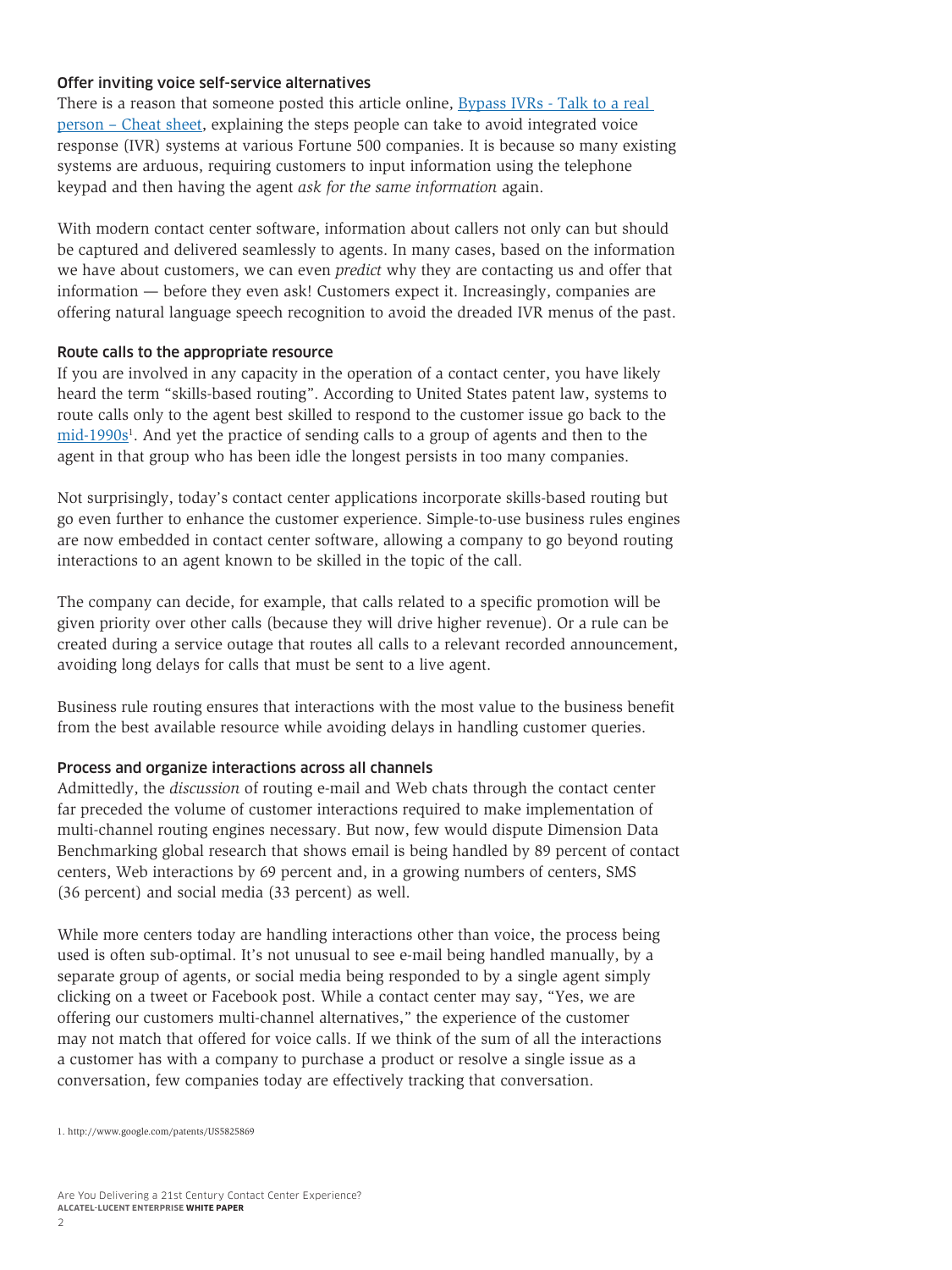#### Offer inviting voice self-service alternatives

There is a reason that someone posted this article online, [Bypass IVRs - Talk to a real](http://whatis.techtarget.com/reference/Bypass-IVRS-Talk-to-a-real-person-cheatsheet)  [person – Cheat sheet,](http://whatis.techtarget.com/reference/Bypass-IVRS-Talk-to-a-real-person-cheatsheet) explaining the steps people can take to avoid integrated voice response (IVR) systems at various Fortune 500 companies. It is because so many existing systems are arduous, requiring customers to input information using the telephone keypad and then having the agent *ask for the same information* again.

With modern contact center software, information about callers not only can but should be captured and delivered seamlessly to agents. In many cases, based on the information we have about customers, we can even *predict* why they are contacting us and offer that information — before they even ask! Customers expect it. Increasingly, companies are offering natural language speech recognition to avoid the dreaded IVR menus of the past.

#### Route calls to the appropriate resource

If you are involved in any capacity in the operation of a contact center, you have likely heard the term "skills-based routing". According to United States patent law, systems to route calls only to the agent best skilled to respond to the customer issue go back to the  $mid-1990s$ <sup>1</sup>. And yet the practice of sending calls to a group of agents and then to the agent in that group who has been idle the longest persists in too many companies.

Not surprisingly, today's contact center applications incorporate skills-based routing but go even further to enhance the customer experience. Simple-to-use business rules engines are now embedded in contact center software, allowing a company to go beyond routing interactions to an agent known to be skilled in the topic of the call.

The company can decide, for example, that calls related to a specific promotion will be given priority over other calls (because they will drive higher revenue). Or a rule can be created during a service outage that routes all calls to a relevant recorded announcement, avoiding long delays for calls that must be sent to a live agent.

Business rule routing ensures that interactions with the most value to the business benefit from the best available resource while avoiding delays in handling customer queries.

#### Process and organize interactions across all channels

Admittedly, the *discussion* of routing e-mail and Web chats through the contact center far preceded the volume of customer interactions required to make implementation of multi-channel routing engines necessary. But now, few would dispute Dimension Data Benchmarking global research that shows email is being handled by 89 percent of contact centers, Web interactions by 69 percent and, in a growing numbers of centers, SMS (36 percent) and social media (33 percent) as well.

While more centers today are handling interactions other than voice, the process being used is often sub-optimal. It's not unusual to see e-mail being handled manually, by a separate group of agents, or social media being responded to by a single agent simply clicking on a tweet or Facebook post. While a contact center may say, "Yes, we are offering our customers multi-channel alternatives," the experience of the customer may not match that offered for voice calls. If we think of the sum of all the interactions a customer has with a company to purchase a product or resolve a single issue as a conversation, few companies today are effectively tracking that conversation.

<sup>1.</sup> http://www.google.com/patents/US5825869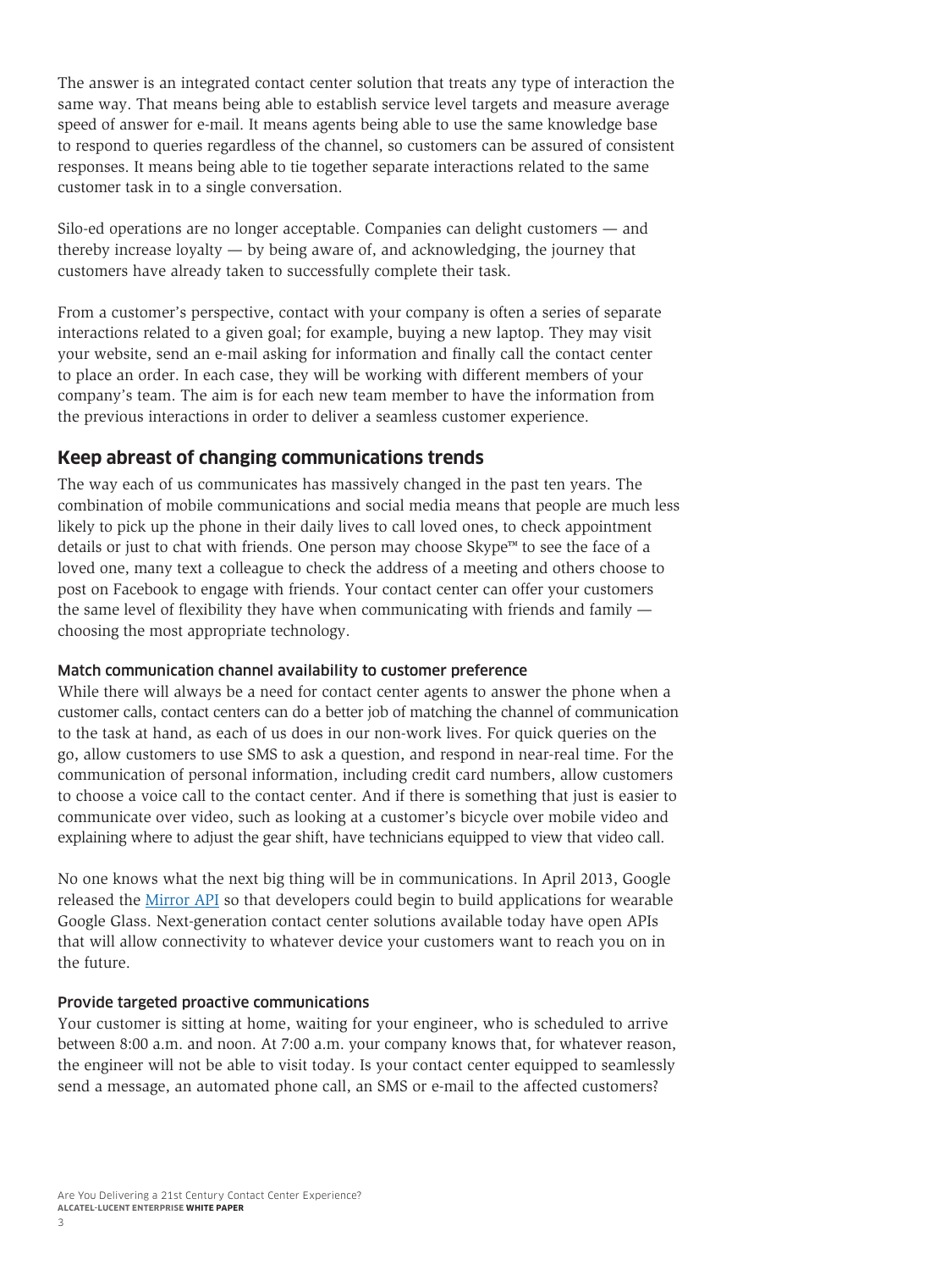<span id="page-4-0"></span>The answer is an integrated contact center solution that treats any type of interaction the same way. That means being able to establish service level targets and measure average speed of answer for e-mail. It means agents being able to use the same knowledge base to respond to queries regardless of the channel, so customers can be assured of consistent responses. It means being able to tie together separate interactions related to the same customer task in to a single conversation.

Silo-ed operations are no longer acceptable. Companies can delight customers — and thereby increase loyalty — by being aware of, and acknowledging, the journey that customers have already taken to successfully complete their task.

From a customer's perspective, contact with your company is often a series of separate interactions related to a given goal; for example, buying a new laptop. They may visit your website, send an e-mail asking for information and finally call the contact center to place an order. In each case, they will be working with different members of your company's team. The aim is for each new team member to have the information from the previous interactions in order to deliver a seamless customer experience.

#### **Keep abreast of changing communications trends**

The way each of us communicates has massively changed in the past ten years. The combination of mobile communications and social media means that people are much less likely to pick up the phone in their daily lives to call loved ones, to check appointment details or just to chat with friends. One person may choose Skype™ to see the face of a loved one, many text a colleague to check the address of a meeting and others choose to post on Facebook to engage with friends. Your contact center can offer your customers the same level of flexibility they have when communicating with friends and family choosing the most appropriate technology.

#### Match communication channel availability to customer preference

While there will always be a need for contact center agents to answer the phone when a customer calls, contact centers can do a better job of matching the channel of communication to the task at hand, as each of us does in our non-work lives. For quick queries on the go, allow customers to use SMS to ask a question, and respond in near-real time. For the communication of personal information, including credit card numbers, allow customers to choose a voice call to the contact center. And if there is something that just is easier to communicate over video, such as looking at a customer's bicycle over mobile video and explaining where to adjust the gear shift, have technicians equipped to view that video call.

No one knows what the next big thing will be in communications. In April 2013, Google released the [Mirror API](https://developers.google.com/glass/) so that developers could begin to build applications for wearable Google Glass. Next-generation contact center solutions available today have open APIs that will allow connectivity to whatever device your customers want to reach you on in the future.

#### Provide targeted proactive communications

Your customer is sitting at home, waiting for your engineer, who is scheduled to arrive between 8:00 a.m. and noon. At 7:00 a.m. your company knows that, for whatever reason, the engineer will not be able to visit today. Is your contact center equipped to seamlessly send a message, an automated phone call, an SMS or e-mail to the affected customers?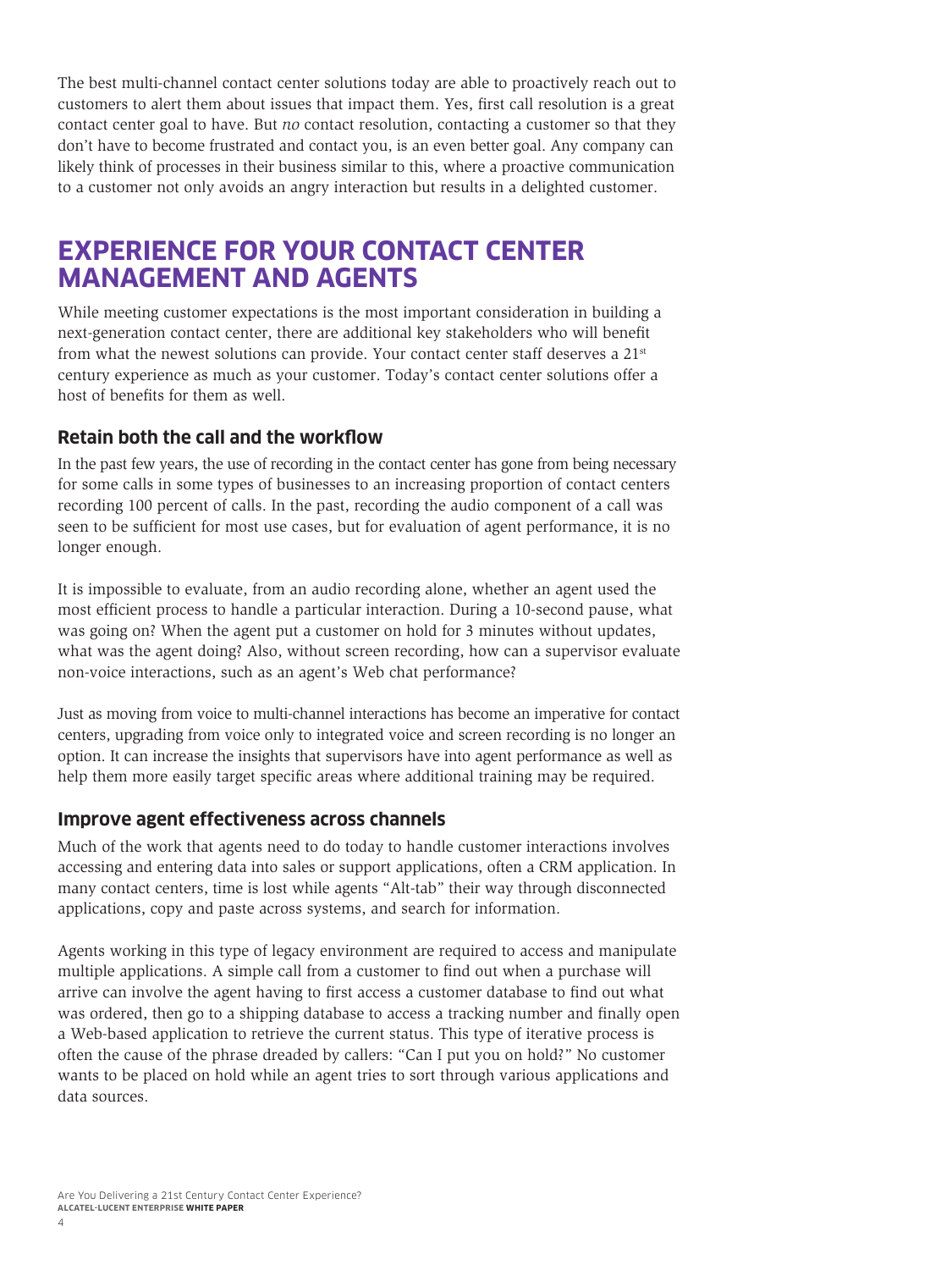<span id="page-5-0"></span>The best multi-channel contact center solutions today are able to proactively reach out to customers to alert them about issues that impact them. Yes, first call resolution is a great contact center goal to have. But *no* contact resolution, contacting a customer so that they don't have to become frustrated and contact you, is an even better goal. Any company can likely think of processes in their business similar to this, where a proactive communication to a customer not only avoids an angry interaction but results in a delighted customer.

### **EXPERIENCE FOR YOUR CONTACT CENTER MANAGEMENT AND AGENTS**

While meeting customer expectations is the most important consideration in building a next-generation contact center, there are additional key stakeholders who will benefit from what the newest solutions can provide. Your contact center staff deserves a  $21<sup>st</sup>$ century experience as much as your customer. Today's contact center solutions offer a host of benefits for them as well.

#### **Retain both the call and the workflow**

In the past few years, the use of recording in the contact center has gone from being necessary for some calls in some types of businesses to an increasing proportion of contact centers recording 100 percent of calls. In the past, recording the audio component of a call was seen to be sufficient for most use cases, but for evaluation of agent performance, it is no longer enough.

It is impossible to evaluate, from an audio recording alone, whether an agent used the most efficient process to handle a particular interaction. During a 10-second pause, what was going on? When the agent put a customer on hold for 3 minutes without updates, what was the agent doing? Also, without screen recording, how can a supervisor evaluate non-voice interactions, such as an agent's Web chat performance?

Just as moving from voice to multi-channel interactions has become an imperative for contact centers, upgrading from voice only to integrated voice and screen recording is no longer an option. It can increase the insights that supervisors have into agent performance as well as help them more easily target specific areas where additional training may be required.

#### **Improve agent effectiveness across channels**

Much of the work that agents need to do today to handle customer interactions involves accessing and entering data into sales or support applications, often a CRM application. In many contact centers, time is lost while agents "Alt-tab" their way through disconnected applications, copy and paste across systems, and search for information.

Agents working in this type of legacy environment are required to access and manipulate multiple applications. A simple call from a customer to find out when a purchase will arrive can involve the agent having to first access a customer database to find out what was ordered, then go to a shipping database to access a tracking number and finally open a Web-based application to retrieve the current status. This type of iterative process is often the cause of the phrase dreaded by callers: "Can I put you on hold?" No customer wants to be placed on hold while an agent tries to sort through various applications and data sources.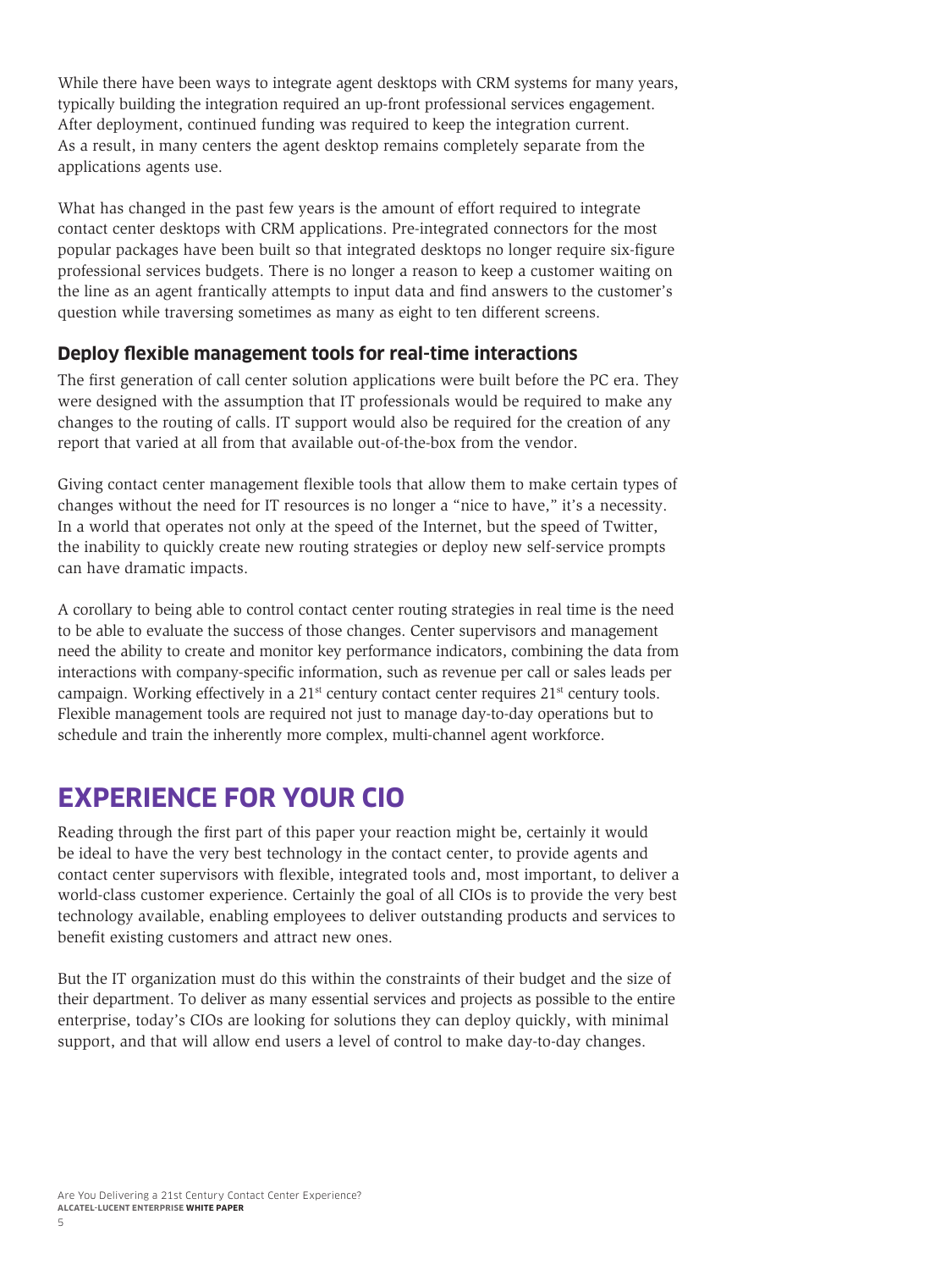<span id="page-6-0"></span>While there have been ways to integrate agent desktops with CRM systems for many years, typically building the integration required an up-front professional services engagement. After deployment, continued funding was required to keep the integration current. As a result, in many centers the agent desktop remains completely separate from the applications agents use.

What has changed in the past few years is the amount of effort required to integrate contact center desktops with CRM applications. Pre-integrated connectors for the most popular packages have been built so that integrated desktops no longer require six-figure professional services budgets. There is no longer a reason to keep a customer waiting on the line as an agent frantically attempts to input data and find answers to the customer's question while traversing sometimes as many as eight to ten different screens.

#### **Deploy flexible management tools for real-time interactions**

The first generation of call center solution applications were built before the PC era. They were designed with the assumption that IT professionals would be required to make any changes to the routing of calls. IT support would also be required for the creation of any report that varied at all from that available out-of-the-box from the vendor.

Giving contact center management flexible tools that allow them to make certain types of changes without the need for IT resources is no longer a "nice to have," it's a necessity. In a world that operates not only at the speed of the Internet, but the speed of Twitter, the inability to quickly create new routing strategies or deploy new self-service prompts can have dramatic impacts.

A corollary to being able to control contact center routing strategies in real time is the need to be able to evaluate the success of those changes. Center supervisors and management need the ability to create and monitor key performance indicators, combining the data from interactions with company-specific information, such as revenue per call or sales leads per campaign. Working effectively in a  $21<sup>st</sup>$  century contact center requires  $21<sup>st</sup>$  century tools. Flexible management tools are required not just to manage day-to-day operations but to schedule and train the inherently more complex, multi-channel agent workforce.

## **EXPERIENCE FOR YOUR CIO**

Reading through the first part of this paper your reaction might be, certainly it would be ideal to have the very best technology in the contact center, to provide agents and contact center supervisors with flexible, integrated tools and, most important, to deliver a world-class customer experience. Certainly the goal of all CIOs is to provide the very best technology available, enabling employees to deliver outstanding products and services to benefit existing customers and attract new ones.

But the IT organization must do this within the constraints of their budget and the size of their department. To deliver as many essential services and projects as possible to the entire enterprise, today's CIOs are looking for solutions they can deploy quickly, with minimal support, and that will allow end users a level of control to make day-to-day changes.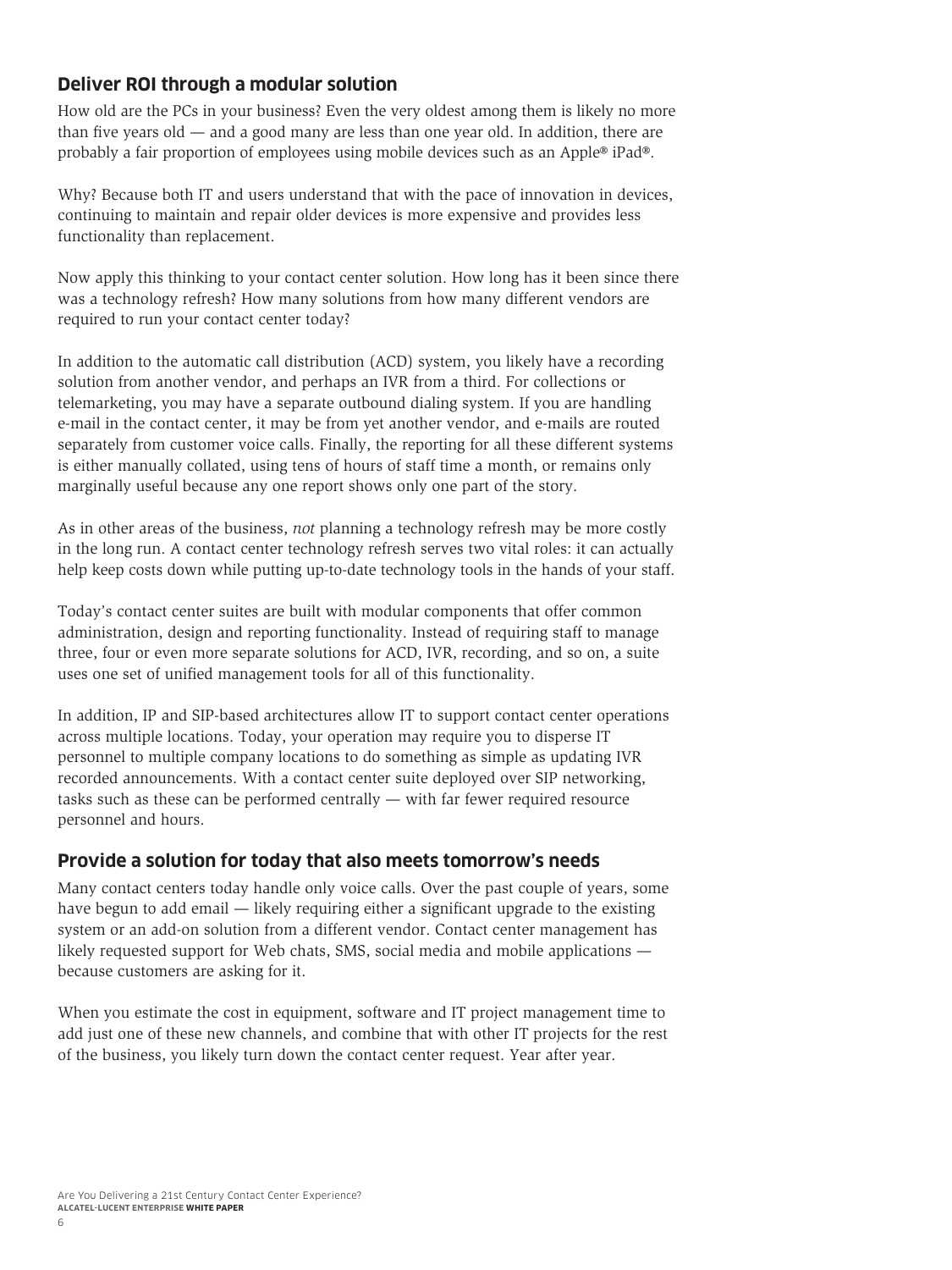#### <span id="page-7-0"></span>**Deliver ROI through a modular solution**

How old are the PCs in your business? Even the very oldest among them is likely no more than five years old — and a good many are less than one year old. In addition, there are probably a fair proportion of employees using mobile devices such as an Apple® iPad®.

Why? Because both IT and users understand that with the pace of innovation in devices, continuing to maintain and repair older devices is more expensive and provides less functionality than replacement.

Now apply this thinking to your contact center solution. How long has it been since there was a technology refresh? How many solutions from how many different vendors are required to run your contact center today?

In addition to the automatic call distribution (ACD) system, you likely have a recording solution from another vendor, and perhaps an IVR from a third. For collections or telemarketing, you may have a separate outbound dialing system. If you are handling e-mail in the contact center, it may be from yet another vendor, and e-mails are routed separately from customer voice calls. Finally, the reporting for all these different systems is either manually collated, using tens of hours of staff time a month, or remains only marginally useful because any one report shows only one part of the story.

As in other areas of the business, *not* planning a technology refresh may be more costly in the long run. A contact center technology refresh serves two vital roles: it can actually help keep costs down while putting up-to-date technology tools in the hands of your staff.

Today's contact center suites are built with modular components that offer common administration, design and reporting functionality. Instead of requiring staff to manage three, four or even more separate solutions for ACD, IVR, recording, and so on, a suite uses one set of unified management tools for all of this functionality.

In addition, IP and SIP-based architectures allow IT to support contact center operations across multiple locations. Today, your operation may require you to disperse IT personnel to multiple company locations to do something as simple as updating IVR recorded announcements. With a contact center suite deployed over SIP networking, tasks such as these can be performed centrally — with far fewer required resource personnel and hours.

#### **Provide a solution for today that also meets tomorrow's needs**

Many contact centers today handle only voice calls. Over the past couple of years, some have begun to add email — likely requiring either a significant upgrade to the existing system or an add-on solution from a different vendor. Contact center management has likely requested support for Web chats, SMS, social media and mobile applications because customers are asking for it.

When you estimate the cost in equipment, software and IT project management time to add just one of these new channels, and combine that with other IT projects for the rest of the business, you likely turn down the contact center request. Year after year.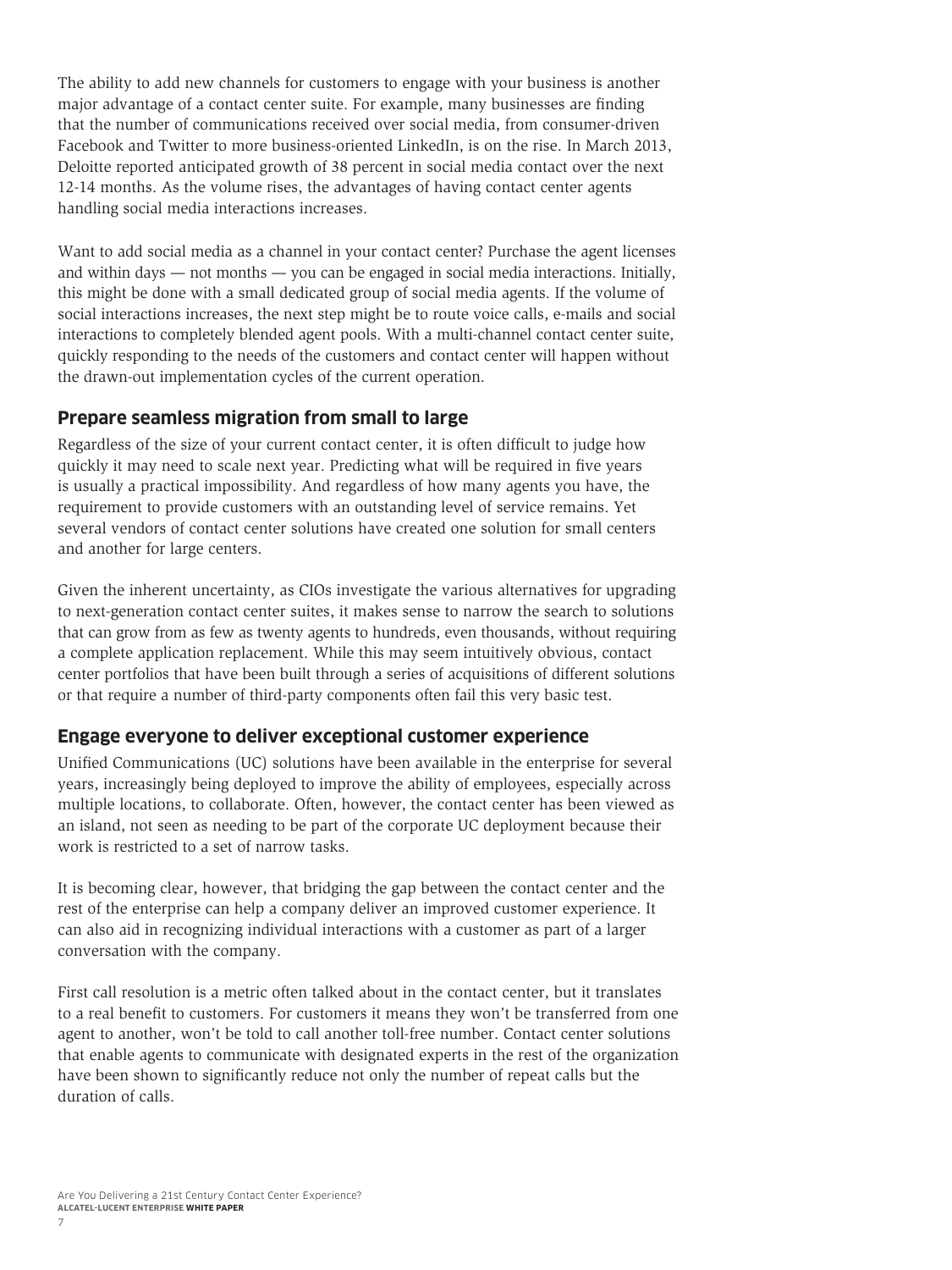<span id="page-8-0"></span>The ability to add new channels for customers to engage with your business is another major advantage of a contact center suite. For example, many businesses are finding that the number of communications received over social media, from consumer-driven Facebook and Twitter to more business-oriented LinkedIn, is on the rise. In March 2013, Deloitte reported anticipated growth of 38 percent in social media contact over the next 12-14 months. As the volume rises, the advantages of having contact center agents handling social media interactions increases.

Want to add social media as a channel in your contact center? Purchase the agent licenses and within days — not months — you can be engaged in social media interactions. Initially, this might be done with a small dedicated group of social media agents. If the volume of social interactions increases, the next step might be to route voice calls, e-mails and social interactions to completely blended agent pools. With a multi-channel contact center suite, quickly responding to the needs of the customers and contact center will happen without the drawn-out implementation cycles of the current operation.

#### **Prepare seamless migration from small to large**

Regardless of the size of your current contact center, it is often difficult to judge how quickly it may need to scale next year. Predicting what will be required in five years is usually a practical impossibility. And regardless of how many agents you have, the requirement to provide customers with an outstanding level of service remains. Yet several vendors of contact center solutions have created one solution for small centers and another for large centers.

Given the inherent uncertainty, as CIOs investigate the various alternatives for upgrading to next-generation contact center suites, it makes sense to narrow the search to solutions that can grow from as few as twenty agents to hundreds, even thousands, without requiring a complete application replacement. While this may seem intuitively obvious, contact center portfolios that have been built through a series of acquisitions of different solutions or that require a number of third-party components often fail this very basic test.

#### **Engage everyone to deliver exceptional customer experience**

Unified Communications (UC) solutions have been available in the enterprise for several years, increasingly being deployed to improve the ability of employees, especially across multiple locations, to collaborate. Often, however, the contact center has been viewed as an island, not seen as needing to be part of the corporate UC deployment because their work is restricted to a set of narrow tasks.

It is becoming clear, however, that bridging the gap between the contact center and the rest of the enterprise can help a company deliver an improved customer experience. It can also aid in recognizing individual interactions with a customer as part of a larger conversation with the company.

First call resolution is a metric often talked about in the contact center, but it translates to a real benefit to customers. For customers it means they won't be transferred from one agent to another, won't be told to call another toll-free number. Contact center solutions that enable agents to communicate with designated experts in the rest of the organization have been shown to significantly reduce not only the number of repeat calls but the duration of calls.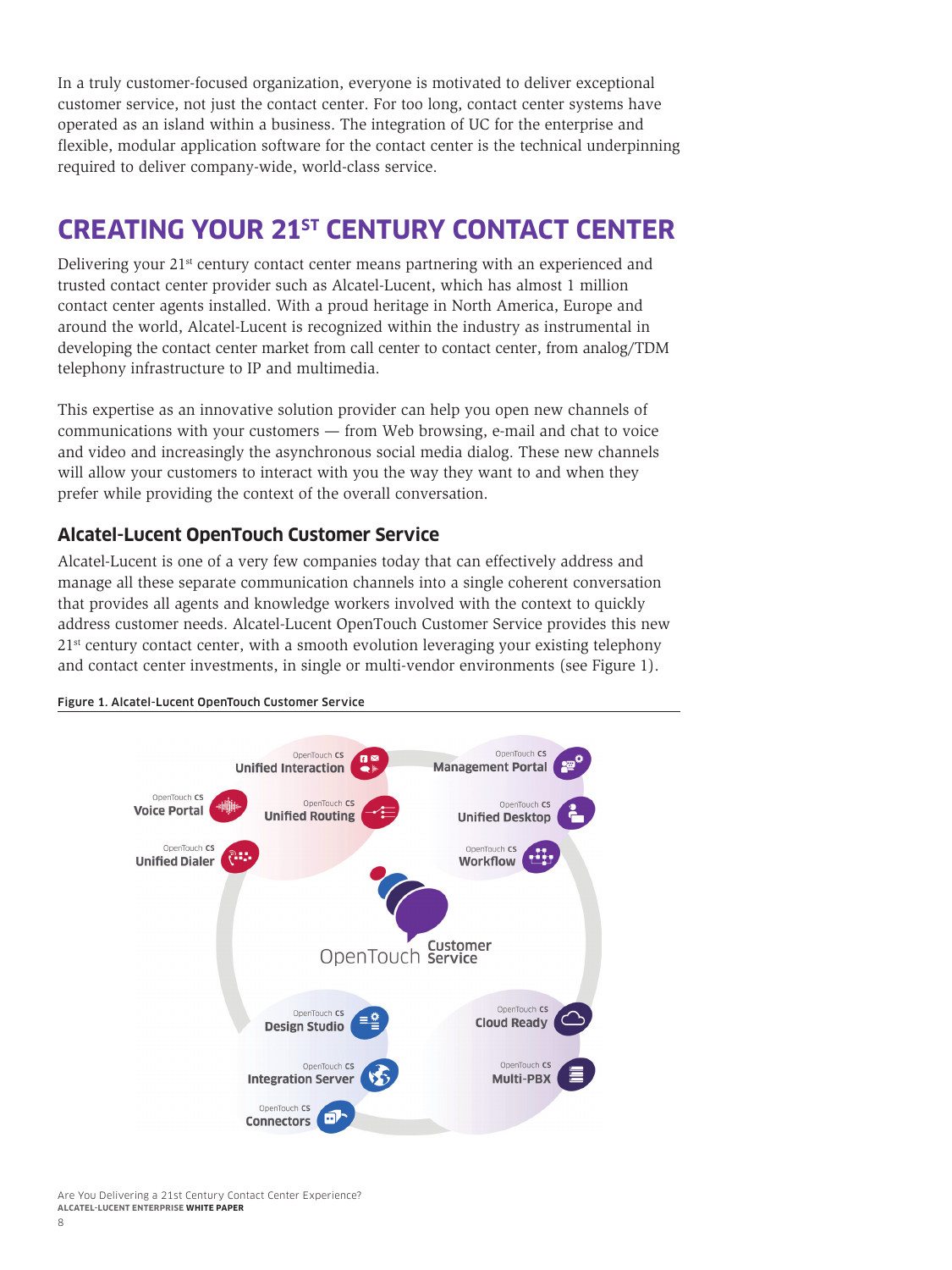<span id="page-9-0"></span>In a truly customer-focused organization, everyone is motivated to deliver exceptional customer service, not just the contact center. For too long, contact center systems have operated as an island within a business. The integration of UC for the enterprise and flexible, modular application software for the contact center is the technical underpinning required to deliver company-wide, world-class service.

# **CREATING YOUR 21ST CENTURY CONTACT CENTER**

Delivering your 21<sup>st</sup> century contact center means partnering with an experienced and trusted contact center provider such as Alcatel-Lucent, which has almost 1 million contact center agents installed. With a proud heritage in North America, Europe and around the world, Alcatel-Lucent is recognized within the industry as instrumental in developing the contact center market from call center to contact center, from analog/TDM telephony infrastructure to IP and multimedia.

This expertise as an innovative solution provider can help you open new channels of communications with your customers — from Web browsing, e-mail and chat to voice and video and increasingly the asynchronous social media dialog. These new channels will allow your customers to interact with you the way they want to and when they prefer while providing the context of the overall conversation.

#### **Alcatel-Lucent OpenTouch Customer Service**

Alcatel-Lucent is one of a very few companies today that can effectively address and manage all these separate communication channels into a single coherent conversation that provides all agents and knowledge workers involved with the context to quickly address customer needs. Alcatel-Lucent OpenTouch Customer Service provides this new  $21<sup>st</sup>$  century contact center, with a smooth evolution leveraging your existing telephony and contact center investments, in single or multi-vendor environments (see Figure 1).



#### Figure 1. Alcatel-Lucent OpenTouch Customer Service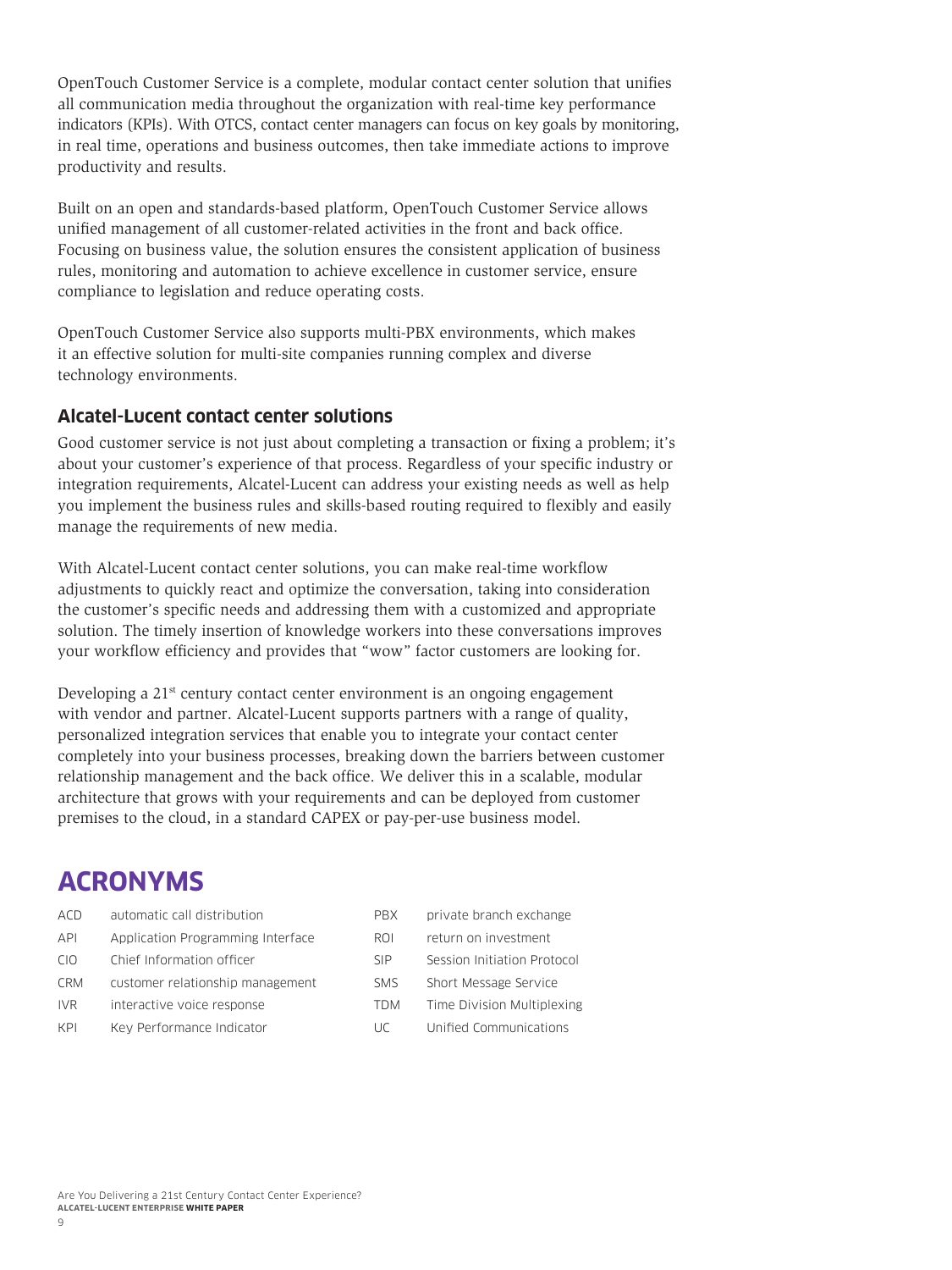<span id="page-10-0"></span>OpenTouch Customer Service is a complete, modular contact center solution that unifies all communication media throughout the organization with real-time key performance indicators (KPIs). With OTCS, contact center managers can focus on key goals by monitoring, in real time, operations and business outcomes, then take immediate actions to improve productivity and results.

Built on an open and standards-based platform, OpenTouch Customer Service allows unified management of all customer-related activities in the front and back office. Focusing on business value, the solution ensures the consistent application of business rules, monitoring and automation to achieve excellence in customer service, ensure compliance to legislation and reduce operating costs.

OpenTouch Customer Service also supports multi-PBX environments, which makes it an effective solution for multi-site companies running complex and diverse technology environments.

#### **Alcatel-Lucent contact center solutions**

Good customer service is not just about completing a transaction or fixing a problem; it's about your customer's experience of that process. Regardless of your specific industry or integration requirements, Alcatel-Lucent can address your existing needs as well as help you implement the business rules and skills-based routing required to flexibly and easily manage the requirements of new media.

With Alcatel-Lucent contact center solutions, you can make real-time workflow adjustments to quickly react and optimize the conversation, taking into consideration the customer's specific needs and addressing them with a customized and appropriate solution. The timely insertion of knowledge workers into these conversations improves your workflow efficiency and provides that "wow" factor customers are looking for.

Developing a  $21<sup>st</sup>$  century contact center environment is an ongoing engagement with vendor and partner. Alcatel-Lucent supports partners with a range of quality, personalized integration services that enable you to integrate your contact center completely into your business processes, breaking down the barriers between customer relationship management and the back office. We deliver this in a scalable, modular architecture that grows with your requirements and can be deployed from customer premises to the cloud, in a standard CAPEX or pay-per-use business model.

# **ACRONYMS**

| ACD        | automatic call distribution       |
|------------|-----------------------------------|
| <b>API</b> | Application Programming Interface |
| CIO.       | Chief Information officer         |
| <b>CRM</b> | customer relationship management  |
| <b>IVR</b> | interactive voice response        |
| KPI        | Key Performance Indicator         |

| PRX        | private branch exchange     |
|------------|-----------------------------|
| ROI        | return on investment        |
| <b>SIP</b> | Session Initiation Protocol |
| <b>SMS</b> | Short Message Service       |
| <b>TDM</b> | Time Division Multiplexing  |
| UC         | Unified Communications      |